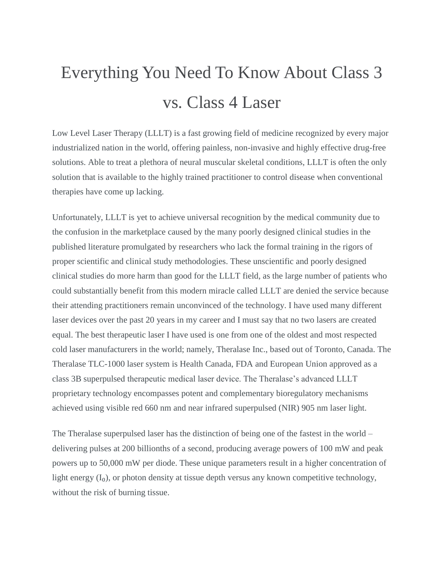## Everything You Need To Know About Class 3 vs. Class 4 Laser

Low Level Laser Therapy (LLLT) is a fast growing field of medicine recognized by every major industrialized nation in the world, offering painless, non-invasive and highly effective drug-free solutions. Able to treat a plethora of neural muscular skeletal conditions, LLLT is often the only solution that is available to the highly trained practitioner to control disease when conventional therapies have come up lacking.

Unfortunately, LLLT is yet to achieve universal recognition by the medical community due to the confusion in the marketplace caused by the many poorly designed clinical studies in the published literature promulgated by researchers who lack the formal training in the rigors of proper scientific and clinical study methodologies. These unscientific and poorly designed clinical studies do more harm than good for the LLLT field, as the large number of patients who could substantially benefit from this modern miracle called LLLT are denied the service because their attending practitioners remain unconvinced of the technology. I have used many different laser devices over the past 20 years in my career and I must say that no two lasers are created equal. The best therapeutic laser I have used is one from one of the oldest and most respected cold laser manufacturers in the world; namely, Theralase Inc., based out of Toronto, Canada. The Theralase TLC-1000 laser system is Health Canada, FDA and European Union approved as a class 3B superpulsed therapeutic medical laser device. The Theralase's advanced LLLT proprietary technology encompasses potent and complementary bioregulatory mechanisms achieved using visible red 660 nm and near infrared superpulsed (NIR) 905 nm laser light.

The Theralase superpulsed laser has the distinction of being one of the fastest in the world – delivering pulses at 200 billionths of a second, producing average powers of 100 mW and peak powers up to 50,000 mW per diode. These unique parameters result in a higher concentration of light energy  $(I_0)$ , or photon density at tissue depth versus any known competitive technology, without the risk of burning tissue.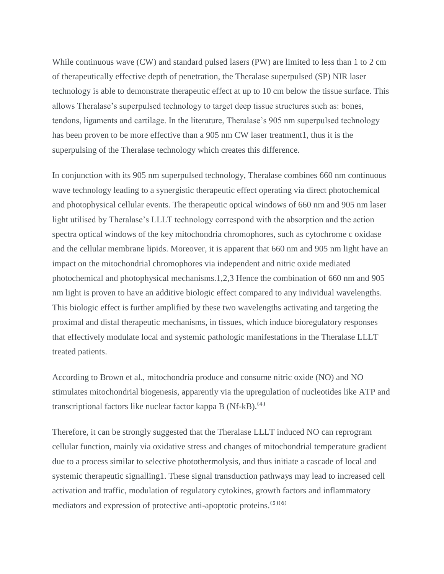While continuous wave (CW) and standard pulsed lasers (PW) are limited to less than 1 to 2 cm of therapeutically effective depth of penetration, the Theralase superpulsed (SP) NIR laser technology is able to demonstrate therapeutic effect at up to 10 cm below the tissue surface. This allows Theralase's superpulsed technology to target deep tissue structures such as: bones, tendons, ligaments and cartilage. In the literature, Theralase's 905 nm superpulsed technology has been proven to be more effective than a 905 nm CW laser treatment1, thus it is the superpulsing of the Theralase technology which creates this difference.

In conjunction with its 905 nm superpulsed technology, Theralase combines 660 nm continuous wave technology leading to a synergistic therapeutic effect operating via direct photochemical and photophysical cellular events. The therapeutic optical windows of 660 nm and 905 nm laser light utilised by Theralase's LLLT technology correspond with the absorption and the action spectra optical windows of the key mitochondria chromophores, such as cytochrome c oxidase and the cellular membrane lipids. Moreover, it is apparent that 660 nm and 905 nm light have an impact on the mitochondrial chromophores via independent and nitric oxide mediated photochemical and photophysical mechanisms.1,2,3 Hence the combination of 660 nm and 905 nm light is proven to have an additive biologic effect compared to any individual wavelengths. This biologic effect is further amplified by these two wavelengths activating and targeting the proximal and distal therapeutic mechanisms, in tissues, which induce bioregulatory responses that effectively modulate local and systemic pathologic manifestations in the Theralase LLLT treated patients.

According to Brown et al., mitochondria produce and consume nitric oxide (NO) and NO stimulates mitochondrial biogenesis, apparently via the upregulation of nucleotides like ATP and transcriptional factors like nuclear factor kappa B  $(Nf-kB)$ .<sup> $(4)$ </sup>

Therefore, it can be strongly suggested that the Theralase LLLT induced NO can reprogram cellular function, mainly via oxidative stress and changes of mitochondrial temperature gradient due to a process similar to selective photothermolysis, and thus initiate a cascade of local and systemic therapeutic signalling1. These signal transduction pathways may lead to increased cell activation and traffic, modulation of regulatory cytokines, growth factors and inflammatory mediators and expression of protective anti-apoptotic proteins.<sup>(5)(6)</sup>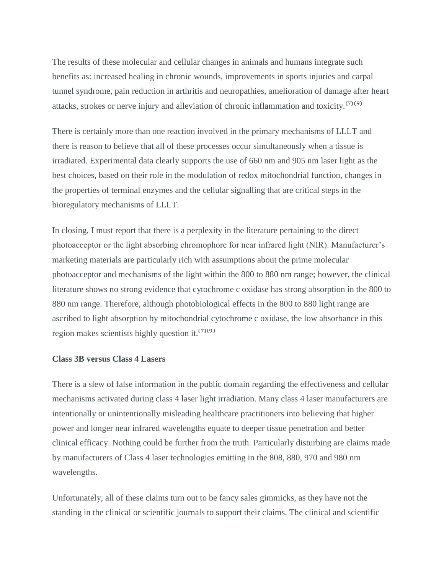The results of these molecular and cellular changes in animals and humans integrate such benefits as: increased healing in chronic wounds, improvements in sports injuries and carpal tunnel syndrome, pain reduction in arthritis and neuropathies, amelioration of damage after heart attacks, strokes or nerve injury and alleviation of chronic inflammation and toxicity.<sup>[7](9)</sup>

There is certainly more than one reaction involved in the primary mechanisms of LLLT and there is reason to believe that all of these processes occur simultaneously when a tissue is irradiated. Experimental data clearly supports the use of 660 nm and 905 nm laser light as the best choices, based on their role in the modulation of redox mitochondrial function, changes in the properties of terminal enzymes and the cellular signalling that are critical steps in the bioregulatory mechanisms of LLLT.

In closing, I must report that there is a perplexity in the literature pertaining to the direct photoacceptor or the light absorbing chromophore for near infrared light (NIR). Manufacturer's marketing materials are particularly rich with assumptions about the prime molecular photoacceptor and mechanisms of the light within the 800 to 880 nm range; however, the clinical literature shows no strong evidence that cytochrome c oxidase has strong absorption in the 800 to 880 nm range. Therefore, although photobiological effects in the 800 to 880 light range are ascribed to light absorption by mitochondrial cytochrome c oxidase, the low absorbance in this region makes scientists highly question it.<sup>(7)(9)</sup>

## **Class 3B versus Class 4 Lasers**

There is a slew of false information in the public domain regarding the effectiveness and cellular mechanisms activated during class 4 laser light irradiation. Many class 4 laser manufacturers are intentionally or unintentionally misleading healthcare practitioners into believing that higher power and longer near infrared wavelengths equate to deeper tissue penetration and better clinical efficacy. Nothing could be further from the truth. Particularly disturbing are claims made by manufacturers of Class 4 laser technologies emitting in the 808, 880, 970 and 980 nm wavelengths.

Unfortunately, all of these claims turn out to be fancy sales gimmicks, as they have not the standing in the clinical or scientific journals to support their claims. The clinical and scientific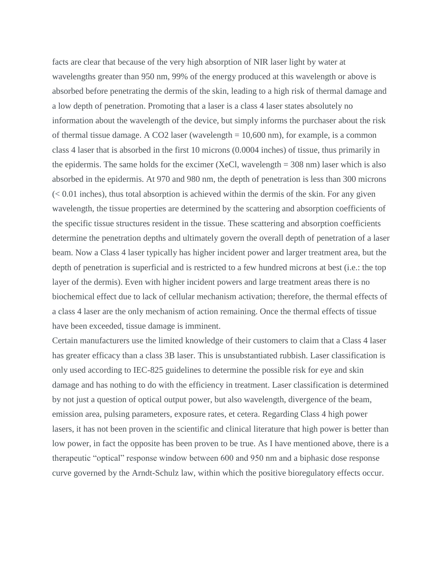facts are clear that because of the very high absorption of NIR laser light by water at wavelengths greater than 950 nm, 99% of the energy produced at this wavelength or above is absorbed before penetrating the dermis of the skin, leading to a high risk of thermal damage and a low depth of penetration. Promoting that a laser is a class 4 laser states absolutely no information about the wavelength of the device, but simply informs the purchaser about the risk of thermal tissue damage. A CO2 laser (wavelength = 10,600 nm), for example, is a common class 4 laser that is absorbed in the first 10 microns (0.0004 inches) of tissue, thus primarily in the epidermis. The same holds for the excimer (XeCl, wavelength  $=$  308 nm) laser which is also absorbed in the epidermis. At 970 and 980 nm, the depth of penetration is less than 300 microns  $(< 0.01$  inches), thus total absorption is achieved within the dermis of the skin. For any given wavelength, the tissue properties are determined by the scattering and absorption coefficients of the specific tissue structures resident in the tissue. These scattering and absorption coefficients determine the penetration depths and ultimately govern the overall depth of penetration of a laser beam. Now a Class 4 laser typically has higher incident power and larger treatment area, but the depth of penetration is superficial and is restricted to a few hundred microns at best (i.e.: the top layer of the dermis). Even with higher incident powers and large treatment areas there is no biochemical effect due to lack of cellular mechanism activation; therefore, the thermal effects of a class 4 laser are the only mechanism of action remaining. Once the thermal effects of tissue have been exceeded, tissue damage is imminent.

Certain manufacturers use the limited knowledge of their customers to claim that a Class 4 laser has greater efficacy than a class 3B laser. This is unsubstantiated rubbish. Laser classification is only used according to IEC-825 guidelines to determine the possible risk for eye and skin damage and has nothing to do with the efficiency in treatment. Laser classification is determined by not just a question of optical output power, but also wavelength, divergence of the beam, emission area, pulsing parameters, exposure rates, et cetera. Regarding Class 4 high power lasers, it has not been proven in the scientific and clinical literature that high power is better than low power, in fact the opposite has been proven to be true. As I have mentioned above, there is a therapeutic "optical" response window between 600 and 950 nm and a biphasic dose response curve governed by the Arndt-Schulz law, within which the positive bioregulatory effects occur.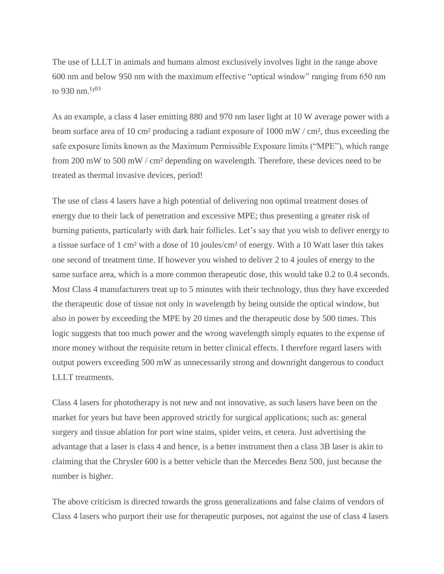The use of LLLT in animals and humans almost exclusively involves light in the range above 600 nm and below 950 nm with the maximum effective "optical window" ranging from 650 nm to 930 nm. $(10)$ 

As an example, a class 4 laser emitting 880 and 970 nm laser light at 10 W average power with a beam surface area of 10 cm<sup>2</sup> producing a radiant exposure of 1000 mW / cm<sup>2</sup>, thus exceeding the safe exposure limits known as the Maximum Permissible Exposure limits ("MPE"), which range from 200 mW to 500 mW / cm² depending on wavelength. Therefore, these devices need to be treated as thermal invasive devices, period!

The use of class 4 lasers have a high potential of delivering non optimal treatment doses of energy due to their lack of penetration and excessive MPE; thus presenting a greater risk of burning patients, particularly with dark hair follicles. Let's say that you wish to deliver energy to a tissue surface of 1 cm² with a dose of 10 joules/cm² of energy. With a 10 Watt laser this takes one second of treatment time. If however you wished to deliver 2 to 4 joules of energy to the same surface area, which is a more common therapeutic dose, this would take 0.2 to 0.4 seconds. Most Class 4 manufacturers treat up to 5 minutes with their technology, thus they have exceeded the therapeutic dose of tissue not only in wavelength by being outside the optical window, but also in power by exceeding the MPE by 20 times and the therapeutic dose by 500 times. This logic suggests that too much power and the wrong wavelength simply equates to the expense of more money without the requisite return in better clinical effects. I therefore regard lasers with output powers exceeding 500 mW as unnecessarily strong and downright dangerous to conduct LLLT treatments.

Class 4 lasers for phototherapy is not new and not innovative, as such lasers have been on the market for years but have been approved strictly for surgical applications; such as: general surgery and tissue ablation for port wine stains, spider veins, et cetera. Just advertising the advantage that a laser is class 4 and hence, is a better instrument then a class 3B laser is akin to claiming that the Chrysler 600 is a better vehicle than the Mercedes Benz 500, just because the number is higher.

The above criticism is directed towards the gross generalizations and false claims of vendors of Class 4 lasers who purport their use for therapeutic purposes, not against the use of class 4 lasers